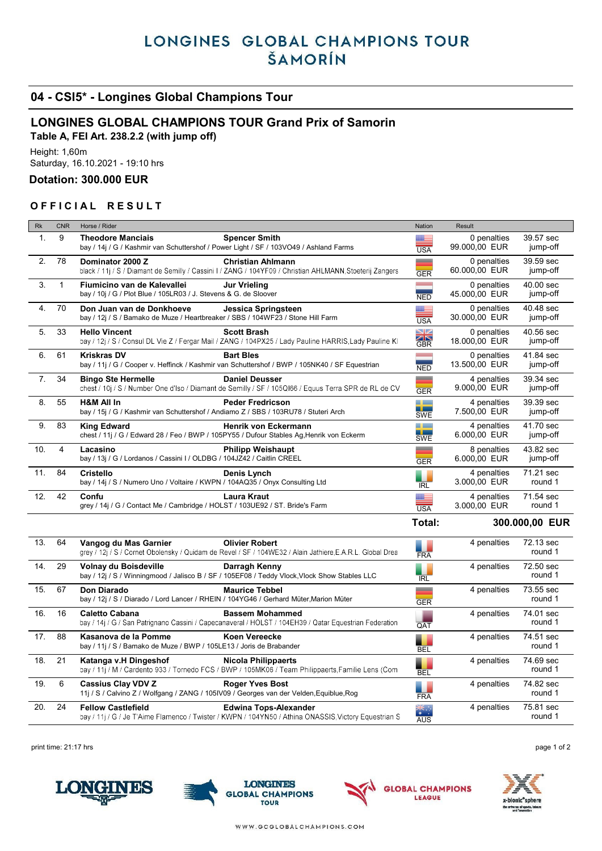# LONGINES GLOBAL CHAMPIONS TOUR ŠAMORÍN

## 04 - CSI5\* - Longines Global Champions Tour

## LONGINES GLOBAL CHAMPIONS TOUR Grand Prix of Samorin

Table A, FEI Art. 238.2.2 (with jump off)

Height: 1,60m Saturday, 16.10.2021 - 19:10 hrs

#### Dotation: 300.000 EUR

### OFFICIAL RESULT

| Rk             | <b>CNR</b>   | Horse / Rider                                                                                                                                               | Nation           | Result                       |                       |
|----------------|--------------|-------------------------------------------------------------------------------------------------------------------------------------------------------------|------------------|------------------------------|-----------------------|
| $\mathbf{1}$ . | 9            | <b>Theodore Manciais</b><br><b>Spencer Smith</b><br>bay / 14j / G / Kashmir van Schuttershof / Power Light / SF / 103VO49 / Ashland Farms                   | <b>USA</b>       | 0 penalties<br>99.000,00 EUR | 39.57 sec<br>jump-off |
| 2.             | 78           | <b>Christian Ahlmann</b><br>Dominator 2000 Z<br>black / 11j / S / Diamant de Semilly / Cassini I / ZANG / 104YF09 / Christian AHLMANN Stoeterij Zangers     | <b>GER</b>       | 0 penalties<br>60.000,00 EUR | 39.59 sec<br>jump-off |
| 3.             | $\mathbf{1}$ | Fiumicino van de Kalevallei<br><b>Jur Vrieling</b><br>bay / 10j / G / Plot Blue / 105LR03 / J. Stevens & G. de Sloover                                      | <b>NED</b>       | 0 penalties<br>45.000,00 EUR | 40.00 sec<br>jump-off |
| 4.             | 70           | Don Juan van de Donkhoeve<br>Jessica Springsteen<br>bay / 12j / S / Bamako de Muze / Heartbreaker / SBS / 104WF23 / Stone Hill Farm                         | <b>USA</b>       | 0 penalties<br>30.000,00 EUR | 40.48 sec<br>jump-off |
| 5.             | 33           | <b>Hello Vincent</b><br><b>Scott Brash</b><br>bay / 12j / S / Consul DL Vie Z / Fergar Mail / ZANG / 104PX25 / Lady Pauline HARRIS, Lady Pauline KI         | <b>NK</b><br>GBR | 0 penalties<br>18.000,00 EUR | 40.56 sec<br>jump-off |
| 6.             | 61           | <b>Kriskras DV</b><br><b>Bart Bles</b><br>bay / 11j / G / Cooper v. Heffinck / Kashmir van Schuttershof / BWP / 105NK40 / SF Equestrian                     | <b>NED</b>       | 0 penalties<br>13.500,00 EUR | 41.84 sec<br>jump-off |
| 7.             | 34           | <b>Daniel Deusser</b><br><b>Bingo Ste Hermelle</b><br>chest / 10j / S / Number One d'Iso / Diamant de Semilly / SF / 105QI66 / Equus Terra SPR de RL de CV  | --<br><b>GER</b> | 4 penalties<br>9.000,00 EUR  | 39.34 sec<br>jump-off |
| 8.             | 55           | <b>H&amp;M All In</b><br><b>Peder Fredricson</b><br>bay / 15j / G / Kashmir van Schuttershof / Andiamo Z / SBS / 103RU78 / Stuteri Arch                     | a an<br>SWE      | 4 penalties<br>7.500,00 EUR  | 39.39 sec<br>jump-off |
| 9.             | 83           | Henrik von Eckermann<br><b>King Edward</b><br>chest / 11j / G / Edward 28 / Feo / BWP / 105PY55 / Dufour Stables Ag, Henrik von Eckerm                      | a a s<br>SWE     | 4 penalties<br>6.000,00 EUR  | 41.70 sec<br>jump-off |
| 10.            | 4            | Lacasino<br><b>Philipp Weishaupt</b><br>bay / 13j / G / Lordanos / Cassini I / OLDBG / 104JZ42 / Caitlin CREEL                                              | <b>GER</b>       | 8 penalties<br>6.000,00 EUR  | 43.82 sec<br>jump-off |
| 11.            | 84           | Denis Lynch<br><b>Cristello</b><br>bay / 14j / S / Numero Uno / Voltaire / KWPN / 104AQ35 / Onyx Consulting Ltd                                             | <b>IRL</b>       | 4 penalties<br>3.000,00 EUR  | 71.21 sec<br>round 1  |
| 12.            | 42           | Confu<br><b>Laura Kraut</b><br>grey / 14j / G / Contact Me / Cambridge / HOLST / 103UE92 / ST. Bride's Farm                                                 | <b>USA</b>       | 4 penalties<br>3.000.00 EUR  | 71.54 sec<br>round 1  |
|                |              |                                                                                                                                                             | Total:           |                              | 300.000,00 EUR        |
| 13.            | 64           | <b>Olivier Robert</b><br>Vangog du Mas Garnier<br>grey / 12j / S / Cornet Obolensky / Quidam de Revel / SF / 104WE32 / Alain Jathiere, E.A.R.L. Global Drea | <b>FRA</b>       | 4 penalties                  | 72.13 sec<br>round 1  |
| 14.            | 29           | Volnay du Boisdeville<br>Darragh Kenny<br>bay / 12j / S / Winningmood / Jalisco B / SF / 105EF08 / Teddy Vlock, Vlock Show Stables LLC                      | <b>IRL</b>       | 4 penalties                  | 72.50 sec<br>round 1  |
| 15.            | 67           | <b>Don Diarado</b><br><b>Maurice Tebbel</b><br>bay / 12j / S / Diarado / Lord Lancer / RHEIN / 104YG46 / Gerhard Müter, Marion Müter                        | --               | 4 penalties                  | 73.55 sec             |
| 16.            |              |                                                                                                                                                             | <b>GER</b>       |                              | round 1               |
|                | 16           | <b>Caletto Cabana</b><br><b>Bassem Mohammed</b><br>bay / 14j / G / San Patrignano Cassini / Capecanaveral / HOLST / 104EH39 / Qatar Equestrian Federation   | QAT              | 4 penalties                  | 74.01 sec<br>round 1  |
| 17.            | 88           | Kasanova de la Pomme<br><b>Koen Vereecke</b><br>bay / 11j / S / Bamako de Muze / BWP / 105LE13 / Joris de Brabander                                         | <b>BEL</b>       | 4 penalties                  | 74.51 sec<br>round 1  |
| 18.            | 21           | Katanga v.H Dingeshof<br>Nicola Philippaerts<br>bay / 11j / M / Cardento 933 / Tornedo FCS / BWP / 105MK06 / Team Philippaerts, Familie Lens (Com           | <b>BEL</b>       | 4 penalties                  | 74.69 sec<br>round 1  |
| 19.            | 6            | <b>Cassius Clay VDV Z</b><br><b>Roger Yves Bost</b><br>11j / S / Calvino Z / Wolfgang / ZANG / 105IV09 / Georges van der Velden, Equiblue, Rog              | <b>FRA</b>       | 4 penalties                  | 74.82 sec<br>round 1  |

print time: 21:17 hrs **page 1 of 2**